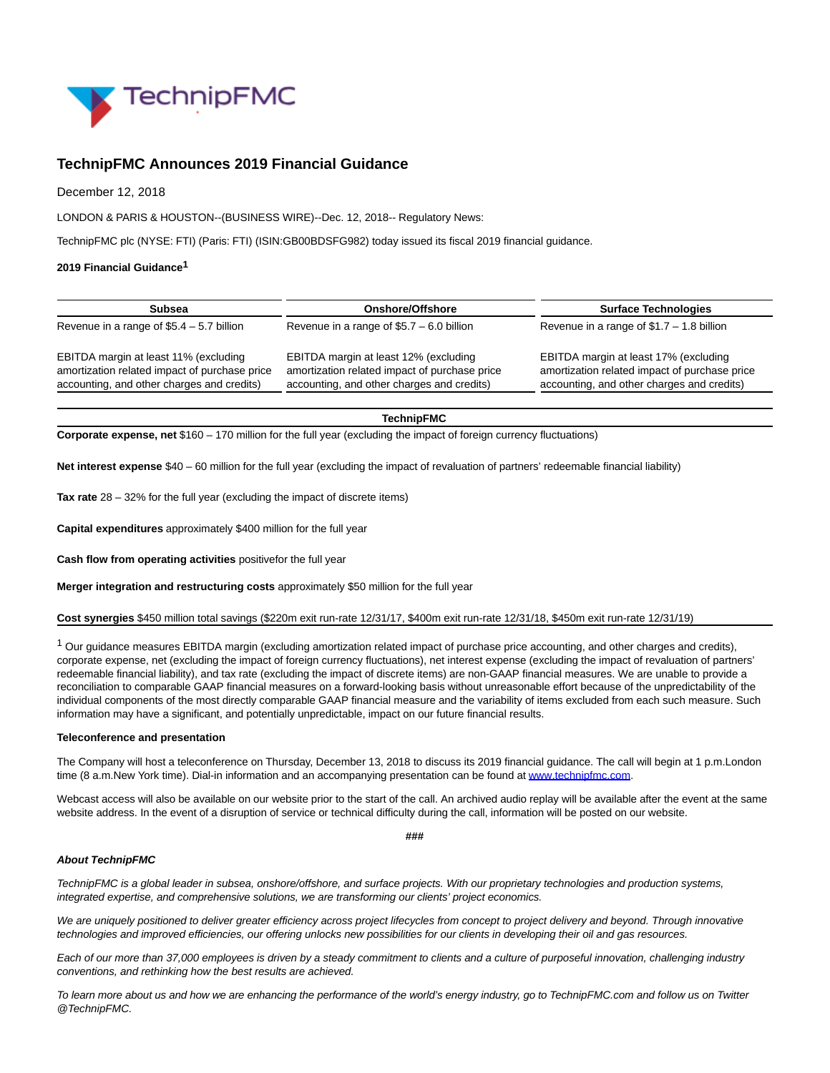

## **TechnipFMC Announces 2019 Financial Guidance**

December 12, 2018

LONDON & PARIS & HOUSTON--(BUSINESS WIRE)--Dec. 12, 2018-- Regulatory News:

TechnipFMC plc (NYSE: FTI) (Paris: FTI) (ISIN:GB00BDSFG982) today issued its fiscal 2019 financial guidance.

## **2019 Financial Guidance1**

| <b>Subsea</b>                                                                                                                        | Onshore/Offshore                                                                                                                     | <b>Surface Technologies</b>                                                                                                          |
|--------------------------------------------------------------------------------------------------------------------------------------|--------------------------------------------------------------------------------------------------------------------------------------|--------------------------------------------------------------------------------------------------------------------------------------|
| Revenue in a range of $$5.4 - 5.7$ billion                                                                                           | Revenue in a range of $$5.7 - 6.0$ billion                                                                                           | Revenue in a range of $$1.7 - 1.8$ billion                                                                                           |
| EBITDA margin at least 11% (excluding<br>amortization related impact of purchase price<br>accounting, and other charges and credits) | EBITDA margin at least 12% (excluding<br>amortization related impact of purchase price<br>accounting, and other charges and credits) | EBITDA margin at least 17% (excluding<br>amortization related impact of purchase price<br>accounting, and other charges and credits) |
|                                                                                                                                      |                                                                                                                                      |                                                                                                                                      |

**TechnipFMC**

**Corporate expense, net** \$160 – 170 million for the full year (excluding the impact of foreign currency fluctuations)

**Net interest expense** \$40 – 60 million for the full year (excluding the impact of revaluation of partners' redeemable financial liability)

**Tax rate** 28 – 32% for the full year (excluding the impact of discrete items)

**Capital expenditures** approximately \$400 million for the full year

**Cash flow from operating activities** positivefor the full year

**Merger integration and restructuring costs** approximately \$50 million for the full year

**Cost synergies** \$450 million total savings (\$220m exit run-rate 12/31/17, \$400m exit run-rate 12/31/18, \$450m exit run-rate 12/31/19)

 $1$  Our guidance measures EBITDA margin (excluding amortization related impact of purchase price accounting, and other charges and credits), corporate expense, net (excluding the impact of foreign currency fluctuations), net interest expense (excluding the impact of revaluation of partners' redeemable financial liability), and tax rate (excluding the impact of discrete items) are non-GAAP financial measures. We are unable to provide a reconciliation to comparable GAAP financial measures on a forward-looking basis without unreasonable effort because of the unpredictability of the individual components of the most directly comparable GAAP financial measure and the variability of items excluded from each such measure. Such information may have a significant, and potentially unpredictable, impact on our future financial results.

## **Teleconference and presentation**

The Company will host a teleconference on Thursday, December 13, 2018 to discuss its 2019 financial guidance. The call will begin at 1 p.m.London time (8 a.m.New York time). Dial-in information and an accompanying presentation can be found a[t www.technipfmc.com.](https://cts.businesswire.com/ct/CT?id=smartlink&url=http%3A%2F%2Finvestors.technipfmc.com%2F&esheet=51913462&newsitemid=20181212005784&lan=en-US&anchor=www.technipfmc.com&index=1&md5=9283d5f3bb7d223bd96c887ea1e8a9ea)

Webcast access will also be available on our website prior to the start of the call. An archived audio replay will be available after the event at the same website address. In the event of a disruption of service or technical difficulty during the call, information will be posted on our website.

**###**

## **About TechnipFMC**

TechnipFMC is a global leader in subsea, onshore/offshore, and surface projects. With our proprietary technologies and production systems, integrated expertise, and comprehensive solutions, we are transforming our clients' project economics.

We are uniquely positioned to deliver greater efficiency across project lifecycles from concept to project delivery and beyond. Through innovative technologies and improved efficiencies, our offering unlocks new possibilities for our clients in developing their oil and gas resources.

Each of our more than 37,000 employees is driven by a steady commitment to clients and a culture of purposeful innovation, challenging industry conventions, and rethinking how the best results are achieved.

To learn more about us and how we are enhancing the performance of the world's energy industry, go to TechnipFMC.com and follow us on Twitter @TechnipFMC.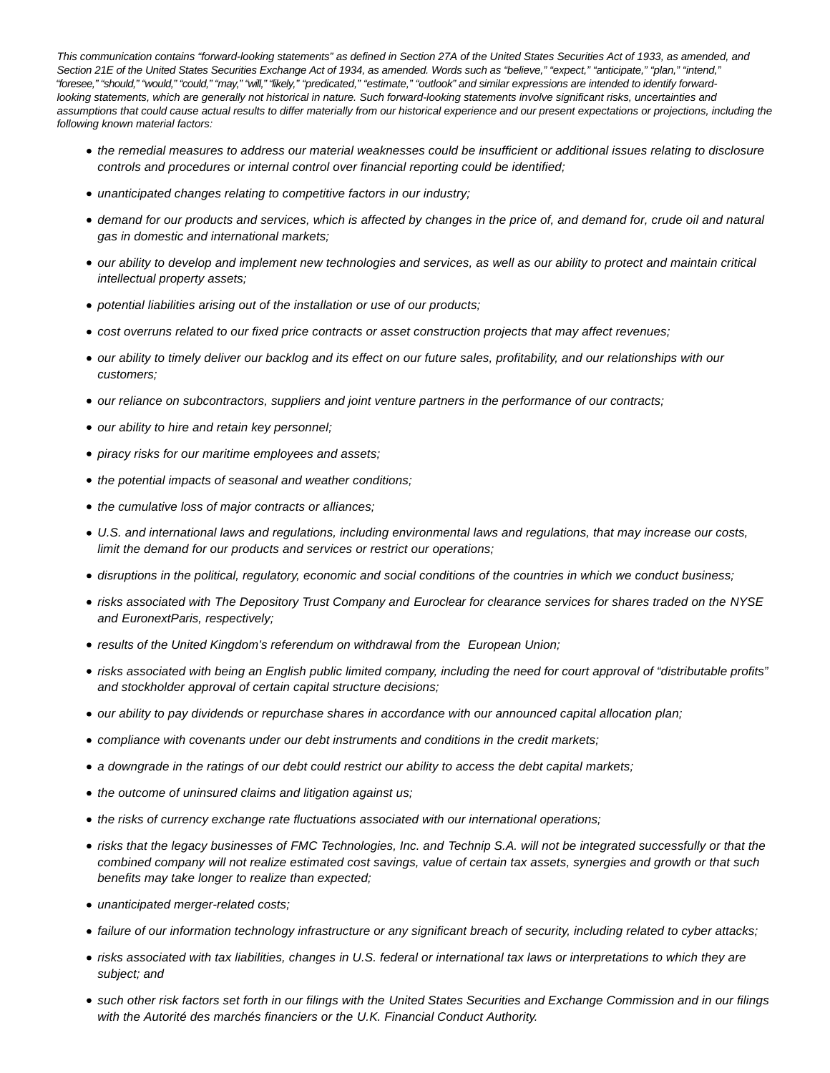This communication contains "forward-looking statements" as defined in Section 27A of the United States Securities Act of 1933, as amended, and Section 21E of the United States Securities Exchange Act of 1934, as amended. Words such as "believe," "expect," "anticipate," "plan," "intend," "foresee," "should," "would," "could," "may," "will," "likely," "predicated," "estimate," "outlook" and similar expressions are intended to identify forwardlooking statements, which are generally not historical in nature. Such forward-looking statements involve significant risks, uncertainties and assumptions that could cause actual results to differ materially from our historical experience and our present expectations or projections, including the following known material factors:

- the remedial measures to address our material weaknesses could be insufficient or additional issues relating to disclosure controls and procedures or internal control over financial reporting could be identified;
- unanticipated changes relating to competitive factors in our industry;
- demand for our products and services, which is affected by changes in the price of, and demand for, crude oil and natural gas in domestic and international markets;
- our ability to develop and implement new technologies and services, as well as our ability to protect and maintain critical intellectual property assets;
- potential liabilities arising out of the installation or use of our products;
- cost overruns related to our fixed price contracts or asset construction projects that may affect revenues;
- our ability to timely deliver our backlog and its effect on our future sales, profitability, and our relationships with our customers;
- our reliance on subcontractors, suppliers and joint venture partners in the performance of our contracts;
- our ability to hire and retain key personnel;
- piracy risks for our maritime employees and assets;
- the potential impacts of seasonal and weather conditions;
- the cumulative loss of major contracts or alliances;
- U.S. and international laws and regulations, including environmental laws and regulations, that may increase our costs, limit the demand for our products and services or restrict our operations;
- disruptions in the political, regulatory, economic and social conditions of the countries in which we conduct business;
- risks associated with The Depository Trust Company and Euroclear for clearance services for shares traded on the NYSE and EuronextParis, respectively;
- results of the United Kingdom's referendum on withdrawal from the European Union;
- risks associated with being an English public limited company, including the need for court approval of "distributable profits" and stockholder approval of certain capital structure decisions;
- our ability to pay dividends or repurchase shares in accordance with our announced capital allocation plan;
- compliance with covenants under our debt instruments and conditions in the credit markets;
- a downgrade in the ratings of our debt could restrict our ability to access the debt capital markets;
- the outcome of uninsured claims and litigation against us;
- the risks of currency exchange rate fluctuations associated with our international operations;
- risks that the legacy businesses of FMC Technologies, Inc. and Technip S.A. will not be integrated successfully or that the combined company will not realize estimated cost savings, value of certain tax assets, synergies and growth or that such benefits may take longer to realize than expected;
- unanticipated merger-related costs;
- failure of our information technology infrastructure or any significant breach of security, including related to cyber attacks;
- risks associated with tax liabilities, changes in U.S. federal or international tax laws or interpretations to which they are subject; and
- such other risk factors set forth in our filings with the United States Securities and Exchange Commission and in our filings with the Autorité des marchés financiers or the U.K. Financial Conduct Authority.